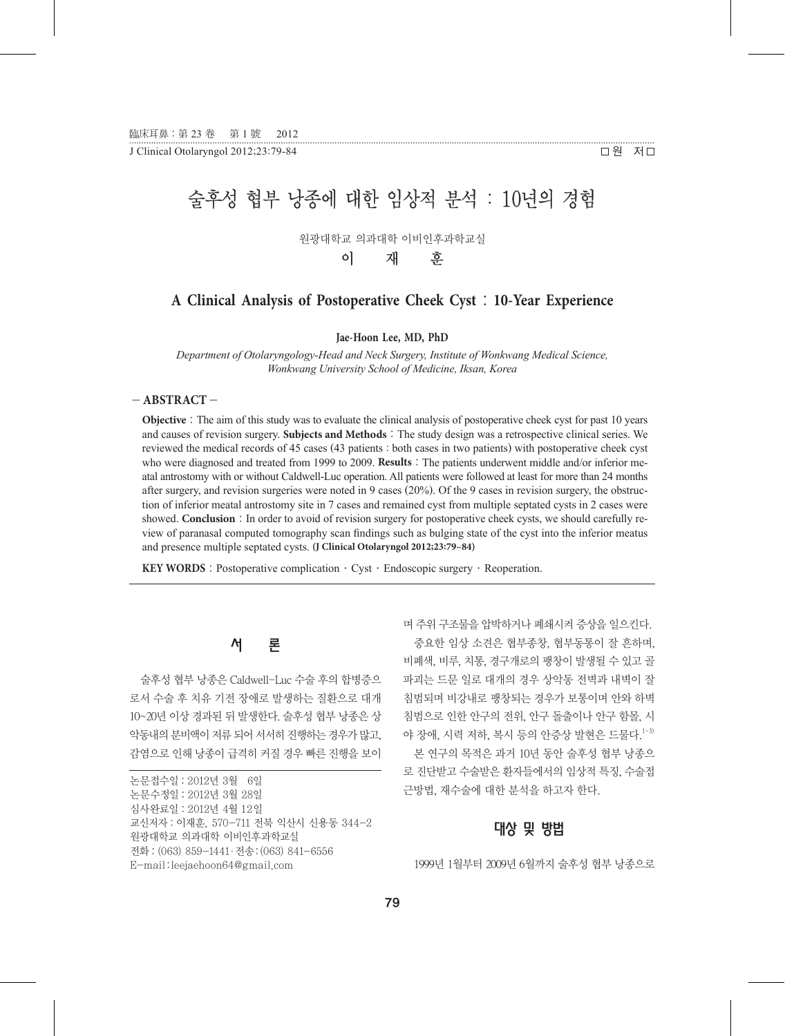J Clinical Otolaryngol 2012;23:79-84  $\Box$  원 저그

## • • • • • • • • • • • • • • • • • • • • • • • • • • • • • • • • • • • • • • • • • • • • • • • • • • • • • • • • • • • • • • • • • • • • • • • • • • • • • • • • • • • • • • • • • • • • • • • • • • • • • • • • • • • • • • • • • • • • • • • • • • • • • • • • • • • • • • • • • • • • • • • • • • • • • • • • • • • • • • • • • • • • • • • • • • • • • • • • • • • • • • • • • • • • • • • • • • • • • • • • • • • • • • • • • • • • • • •

# 술후성 협부 낭종에 대한 임상적 분석 : 10년의 경험

원광대학교 의과대학 이비인후과학교실

이 재 훈

### **A Clinical Analysis of Postoperative Cheek Cyst** : **10-Year Experience**

**Jae-Hoon Lee, MD, PhD**

*Department of Otolaryngology-Head and Neck Surgery, Institute of Wonkwang Medical Science, Wonkwang University School of Medicine, Iksan, Korea*

#### - **ABSTRACT** -

**Objective**: The aim of this study was to evaluate the clinical analysis of postoperative cheek cyst for past 10 years and causes of revision surgery. **Subjects and Methods**: The study design was a retrospective clinical series. We reviewed the medical records of 45 cases (43 patients : both cases in two patients) with postoperative cheek cyst who were diagnosed and treated from 1999 to 2009. **Results**: The patients underwent middle and/or inferior meatal antrostomy with or without Caldwell-Luc operation. All patients were followed at least for more than 24 months after surgery, and revision surgeries were noted in 9 cases (20%). Of the 9 cases in revision surgery, the obstruction of inferior meatal antrostomy site in 7 cases and remained cyst from multiple septated cysts in 2 cases were showed. **Conclusion**: In order to avoid of revision surgery for postoperative cheek cysts, we should carefully review of paranasal computed tomography scan findings such as bulging state of the cyst into the inferior meatus and presence multiple septated cysts. **(J Clinical Otolaryngol 2012;23:79-84)**

**KEY WORDS**: Postoperative complication · Cyst · Endoscopic surgery · Reoperation.

# 서 론

술후성 협부 낭종은 Caldwell-Luc 수술 후의 합병증으 로서 수술 후 치유 기전 장애로 발생하는 질환으로 대개 10~20년 이상 경과된 뒤 발생한다. 술후성 협부 낭종은 상 악동내의 분비액이 저류 되어 서서히 진행하는 경우가 많고, 감염으로 인해 낭종이 급격히 커질 경우 빠른 진행을 보이 며 주위 구조물을 압박하거나 폐쇄시켜 증상을 일으킨다. 중요한 임상 소견은 협부종창, 협부동통이 잘 흔하며, 비폐색, 비루, 치통, 경구개로의 팽창이 발생될 수 있고 골 파괴는 드문 일로 대개의 경우 상악동 전벽과 내벽이 잘 침범되며 비강내로 팽창되는 경우가 보통이며 안와 하벽 침범으로 인한 안구의 전위, 안구 돌출이나 안구 함몰, 시 야 장애, 시력 저하, 복시 등의 안증상 발현은 드물다.<sup>1-3)</sup>

본 연구의 목적은 과거 10년 동안 술후성 협부 낭종으 로 진단받고 수술받은 환자들에서의 임상적 특징, 수술접 근방법, 재수술에 대한 분석을 하고자 한다.

### 대상 및 방법

1999년 1월부터 2009년 6월까지 술후성 협부 낭종으로

논문접수일:2012년 3월 06일 논문수정일:2012년 3월 28일 심사완료일:2012년 4월 12일 교신저자:이재훈, 570-711 전북 익산시 신용동 344-2 원광대학교 의과대학 이비인후과학교실 전화:(063) 859-1441·전송:(063) 841-6556 E-mail:leejaehoon64@gmail.com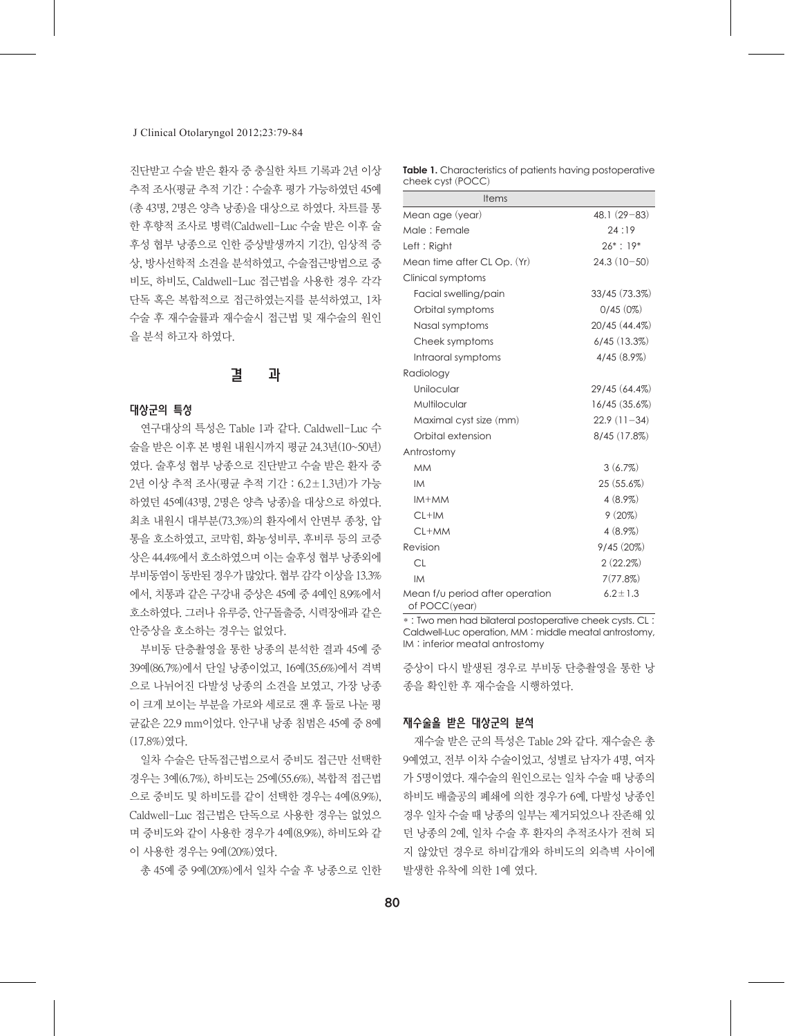#### J Clinical Otolaryngol 2012;23:79-84

진단받고 수술 받은 환자 중 충실한 차트 기록과 2년 이상 추적 조사(평균 추적 기간 : 수술후 평가 가능하였던 45예 (총 43명, 2명은 양측 낭종)을 대상으로 하였다. 차트를 통 한 후향적 조사로 병력(Caldwell-Luc 수술 받은 이후 술 후성 협부 낭종으로 인한 증상발생까지 기간), 임상적 증 상, 방사선학적 소견을 분석하였고, 수술접근방법으로 중 비도, 하비도, Caldwell-Luc 접근법을 사용한 경우 각각 단독 혹은 복합적으로 접근하였는지를 분석하였고, 1차 수술 후 재수술률과 재수술시 접근법 및 재수술의 원인 을 분석 하고자 하였다.

# 결 과

#### 대상군의 특성

연구대상의 특성은 Table 1과 같다. Caldwell-Luc 수 술을 받은 이후 본 병원 내원시까지 평균 24.3년(10~50년) 였다. 술후성 협부 낭종으로 진단받고 수술 받은 환자 중 2년 이상 추적 조사(평균 추적 기간 : 6.2±1.3년)가 가능 하였던 45예(43명, 2명은 양측 낭종)을 대상으로 하였다. 최초 내원시 대부분(73.3%)의 환자에서 안면부 종창, 압 통을 호소하였고, 코막힘, 화농성비루, 후비루 등의 코증 상은 44.4%에서 호소하였으며 이는 술후성 협부 낭종외에 부비동염이 동반된 경우가 많았다. 협부 감각 이상을 13.3% 에서, 치통과 같은 구강내 증상은 45예 중 4예인 8.9%에서 호소하였다. 그러나 유루증, 안구돌출증, 시력장애과 같은 안증상을 호소하는 경우는 없었다.

부비동 단층촬영을 통한 낭종의 분석한 결과 45예 중 39예(86.7%)에서 단일 낭종이었고, 16예(35.6%)에서 격벽 으로 나뉘어진 다발성 낭종의 소견을 보였고, 가장 낭종 이 크게 보이는 부분을 가로와 세로로 잰 후 둘로 나눈 평 균값은 22.9 mm이었다. 안구내 낭종 침범은 45예 중 8예 (17.8%)였다.

일차 수술은 단독접근법으로서 중비도 접근만 선택한 경우는 3예(6.7%), 하비도는 25예(55.6%), 복합적 접근법 으로 중비도 및 하비도를 같이 선택한 경우는 4예(8.9%), Caldwell-Luc 접근법은 단독으로 사용한 경우는 없었으 며 중비도와 같이 사용한 경우가 4예(8.9%), 하비도와 같 이 사용한 경우는 9예(20%)였다.

총 45예 중 9예(20%)에서 일차 수술 후 낭종으로 인한

| <b>Table 1.</b> Characteristics of patients having postoperative |  |
|------------------------------------------------------------------|--|
| cheek cyst (POCC)                                                |  |

| <b>Items</b>                                     |               |
|--------------------------------------------------|---------------|
| Mean age (year)                                  | $48.1(29-83)$ |
| Male: Female                                     | 24:19         |
| Left: Right                                      | $26* : 19*$   |
| Mean time after CL Op. (Yr)                      | $24.3(10-50)$ |
| Clinical symptoms                                |               |
| Facial swelling/pain                             | 33/45 (73.3%) |
| Orbital symptoms                                 | 0/45(0%)      |
| Nasal symptoms                                   | 20/45 (44.4%) |
| Cheek symptoms                                   | 6/45(13.3%)   |
| Intraoral symptoms                               | 4/45(8.9%)    |
| Radiology                                        |               |
| Unilocular                                       | 29/45 (64.4%) |
| Multilocular                                     | 16/45 (35.6%) |
| Maximal cyst size (mm)                           | $22.9(11-34)$ |
| Orbital extension                                | 8/45 (17.8%)  |
| Antrostomy                                       |               |
| <b>MM</b>                                        | 3(6.7%)       |
| <b>IM</b>                                        | 25(55.6%)     |
| $IM+MM$                                          | $4(8.9\%)$    |
| $CL+IM$                                          | 9(20%)        |
| $CL+MM$                                          | $4(8.9\%)$    |
| Revision                                         | 9/45(20%)     |
| <b>CL</b>                                        | 2(22.2%)      |
| <b>IM</b>                                        | 7(77.8%)      |
| Mean f/u period after operation<br>of POCC(year) | $6.2 \pm 1.3$ |

\* : Two men had bilateral postoperative cheek cysts. CL : Caldwell-Luc operation, MM : middle meatal antrostomy, IM : inferior meatal antrostomy

증상이 다시 발생된 경우로 부비동 단층촬영을 통한 낭 종을 확인한 후 재수술을 시행하였다.

#### 재수술을 받은 대상군의 분석

재수술 받은 군의 특성은 Table 2와 같다. 재수술은 총 9예였고, 전부 이차 수술이었고, 성별로 남자가 4명, 여자 가 5명이였다. 재수술의 원인으로는 일차 수술 때 낭종의 하비도 배출공의 폐쇄에 의한 경우가 6예, 다발성 낭종인 경우 일차 수술 때 낭종의 일부는 제거되었으나 잔존해 있 던 낭종의 2예, 일차 수술 후 환자의 추적조사가 전혀 되 지 않았던 경우로 하비갑개와 하비도의 외측벽 사이에 발생한 유착에 의한 1예 였다.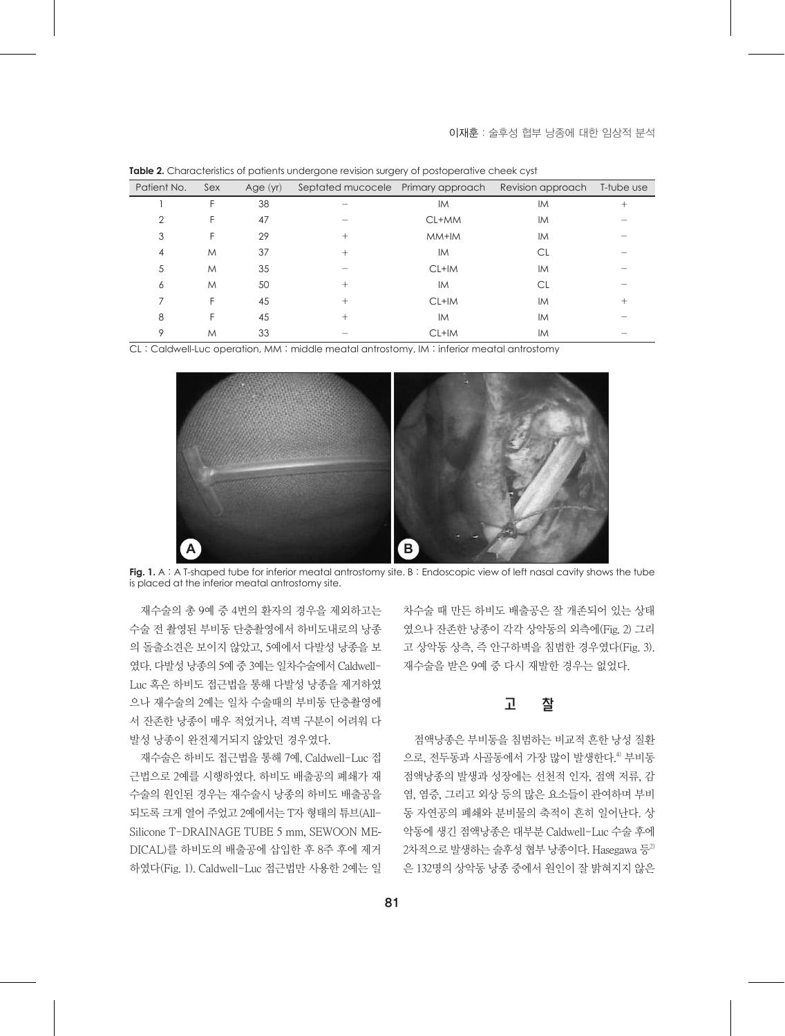| Patient No. | Sex | Age $(yr)$ | Septated mucocele Primary approach |         | Revision approach | T-tube use |
|-------------|-----|------------|------------------------------------|---------|-------------------|------------|
|             | F   | 38         |                                    | IM.     | <b>IM</b>         | $^{+}$     |
| 2           | F   | 47         |                                    | CL+MM   | <b>IM</b>         |            |
| 3           | F   | 29         | $^{+}$                             | MM+IM   | <b>IM</b>         |            |
| 4           | M   | 37         | $^+$                               | IM.     | <b>CL</b>         |            |
| 5           | M   | 35         |                                    | $CL+IM$ | <b>IM</b>         |            |
| 6           | M   | 50         | $^{+}$                             | IM.     | СL                |            |
| 7           | F   | 45         | $^+$                               | CL+IM   | <b>IM</b>         | $^+$       |
| 8           | F   | 45         | $^{+}$                             | IM.     | <b>IM</b>         |            |
| 9           | M   | 33         |                                    | CL+IM   | IM                |            |

**Table 2.** Characteristics of patients undergone revision surgery of postoperative cheek cyst

CL : Caldwell-Luc operation, MM : middle meatal antrostomy, IM : inferior meatal antrostomy



**Fig. 1.** A : A T-shaped tube for inferior meatal antrostomy site. B : Endoscopic view of left nasal cavity shows the tube is placed at the inferior meatal antrostomy site.

재수술의 총 9예 중 4번의 환자의 경우을 제외하고는 수술 전 촬영된 부비동 단층촬영에서 하비도내로의 낭종 의 돌출소견은 보이지 않았고, 5예에서 다발성 낭종을 보 였다. 다발성 낭종의 5예 중 3예는 일차수술에서 Caldwell-Luc 혹은 하비도 접근법을 통해 다발성 낭종을 제거하였 으나 재수술의 2예는 일차 수술때의 부비동 단층촬영에 서 잔존한 낭종이 매우 적었거나, 격벽 구분이 어려워 다 발성 낭종이 완전제거되지 않았던 경우였다.

재수술은 하비도 접근법을 통해 7예, Caldwell-Luc 접 근법으로 2예를 시행하였다. 하비도 배출공의 폐쇄가 재 수술의 원인된 경우는 재수술시 낭종의 하비도 배출공을 되도록 크게 열어 주었고 2예에서는 T자 형태의 튜브(All-Silicone T-DRAINAGE TUBE 5 mm, SEWOON ME-DICAL)를 하비도의 배출공에 삽입한 후 8주 후에 제거 하였다(Fig. 1). Caldwell-Luc 접근법만 사용한 2예는 일

차수술 때 만든 하비도 배출공은 잘 개존되어 있는 상태 였으나 잔존한 낭종이 각각 상악동의 외측에(Fig. 2) 그리 고 상악동 상측, 즉 안구하벽을 침범한 경우였다(Fig. 3). 재수술을 받은 9예 중 다시 재발한 경우는 없었다.

### 고 잘

점액낭종은 부비동을 침범하는 비교적 흔한 낭성 질환 으로, 전두동과 사골동에서 가장 많이 발생한다. 4) 부비동 점액낭종의 발생과 성장에는 선천적 인자, 점액 저류, 감 염, 염증, 그리고 외상 등의 많은 요소들이 관여하며 부비 동 자연공의 폐쇄와 분비물의 축적이 흔히 일어난다. 상 악동에 생긴 점액낭종은 대부분 Caldwell-Luc 수술 후에  $2$ 차적으로 발생하는 술후성 협부 낭종이다. Hasegawa 등 $^{2}$ 은 132명의 상악동 낭종 중에서 원인이 잘 밝혀지지 않은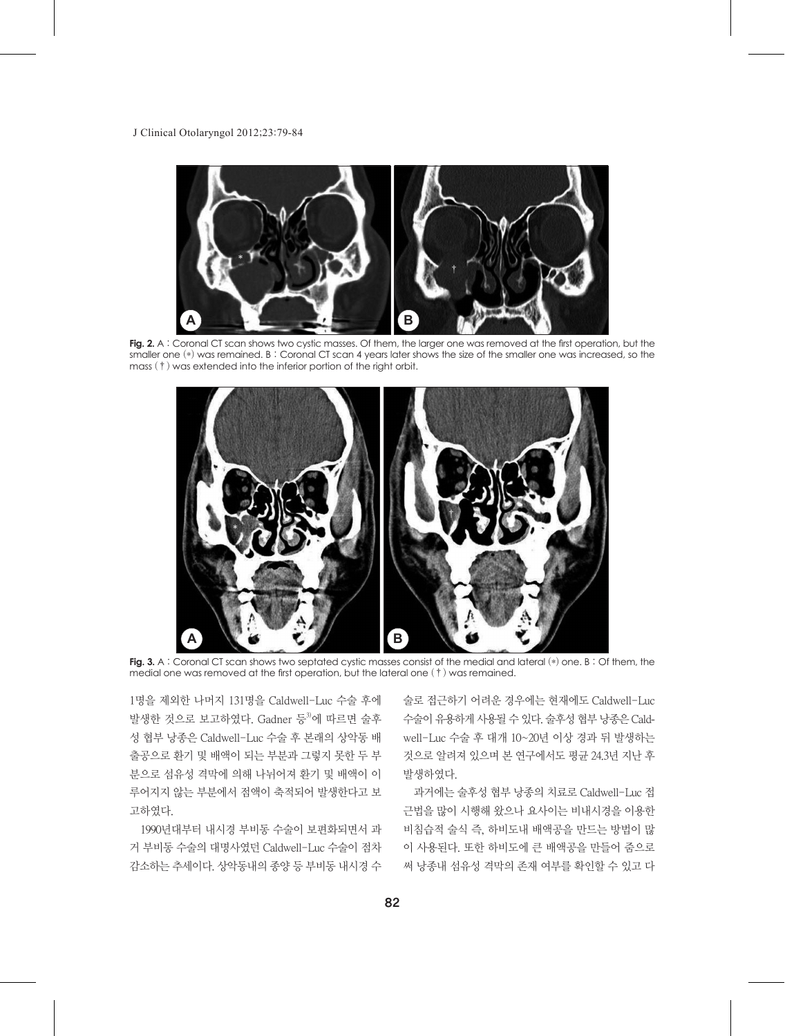

**Fig. 2.** A : Coronal CT scan shows two cystic masses. Of them, the larger one was removed at the first operation, but the smaller one (\*) was remained. B : Coronal CT scan 4 years later shows the size of the smaller one was increased, so the mass (†) was extended into the inferior portion of the right orbit.



**Fig. 3.** A : Coronal CT scan shows two septated cystic masses consist of the medial and lateral (\*) one. B : Of them, the medial one was removed at the first operation, but the lateral one (†) was remained.

1명을 제외한 나머지 131명을 Caldwell-Luc 수술 후에 발생한 것으로 보고하였다. Gadner 등<sup>3)</sup>에 따르면 술후 성 협부 낭종은 Caldwell-Luc 수술 후 본래의 상악동 배 출공으로 환기 및 배액이 되는 부분과 그렇지 못한 두 부 분으로 섬유성 격막에 의해 나뉘어져 환기 및 배액이 이 루어지지 않는 부분에서 점액이 축적되어 발생한다고 보 고하였다.

1990년대부터 내시경 부비동 수술이 보편화되면서 과 거 부비동 수술의 대명사였던 Caldwell-Luc 수술이 점차 감소하는 추세이다. 상악동내의 종양 등 부비동 내시경 수

술로 접근하기 어려운 경우에는 현재에도 Caldwell-Luc 수술이 유용하게 사용될 수 있다. 술후성 협부 낭종은 Caldwell-Luc 수술 후 대개 10~20년 이상 경과 뒤 발생하는 것으로 알려져 있으며 본 연구에서도 평균 24.3년 지난 후 발생하였다.

과거에는 술후성 협부 낭종의 치료로 Caldwell-Luc 접 근법을 많이 시행해 왔으나 요사이는 비내시경을 이용한 비침습적 술식 즉, 하비도내 배액공을 만드는 방법이 많 이 사용된다. 또한 하비도에 큰 배액공을 만들어 줌으로 써 낭종내 섬유성 격막의 존재 여부를 확인할 수 있고 다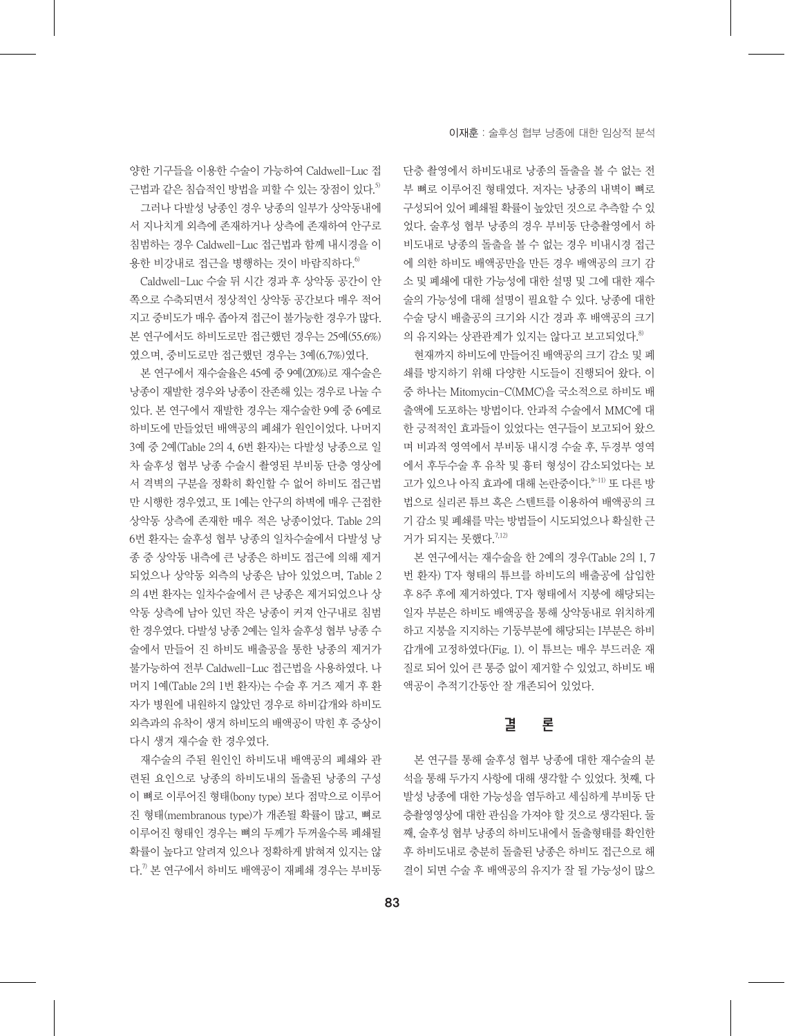양한 기구들을 이용한 수술이 가능하여 Caldwell-Luc 접 근법과 같은 침습적인 방법을 피할 수 있는 장점이 있다. 5) 그러나 다발성 낭종인 경우 낭종의 일부가 상악동내에 서 지나치게 외측에 존재하거나 상측에 존재하여 안구로 침범하는 경우 Caldwell-Luc 접근법과 함께 내시경을 이 용한 비강내로 접근을 병행하는 것이 바람직하다. 6)

Caldwell-Luc 수술 뒤 시간 경과 후 상악동 공간이 안 쪽으로 수축되면서 정상적인 상악동 공간보다 매우 적어 지고 중비도가 매우 좁아져 접근이 불가능한 경우가 많다. 본 연구에서도 하비도로만 접근했던 경우는 25예(55.6%) 였으며, 중비도로만 접근했던 경우는 3예(6.7%)였다.

본 연구에서 재수술율은 45예 중 9예(20%)로 재수술은 낭종이 재발한 경우와 낭종이 잔존해 있는 경우로 나눌 수 있다. 본 연구에서 재발한 경우는 재수술한 9예 중 6예로 하비도에 만들었던 배액공의 폐쇄가 원인이었다. 나머지 3예 중 2예(Table 2의 4, 6번 환자)는 다발성 낭종으로 일 차 술후성 협부 낭종 수술시 촬영된 부비동 단층 영상에 서 격벽의 구분을 정확히 확인할 수 없어 하비도 접근법 만 시행한 경우였고, 또 1예는 안구의 하벽에 매우 근접한 상악동 상측에 존재한 매우 적은 낭종이었다. Table 2의 6번 환자는 술후성 협부 낭종의 일차수술에서 다발성 낭 종 중 상악동 내측에 큰 낭종은 하비도 접근에 의해 제거 되었으나 상악동 외측의 낭종은 남아 있었으며, Table 2 의 4번 환자는 일차수술에서 큰 낭종은 제거되었으나 상 악동 상측에 남아 있던 작은 낭종이 커져 안구내로 침범 한 경우였다. 다발성 낭종 2예는 일차 술후성 협부 낭종 수 술에서 만들어 진 하비도 배출공을 통한 낭종의 제거가 불가능하여 전부 Caldwell-Luc 접근법을 사용하였다. 나 머지 1예(Table 2의 1번 환자)는 수술 후 거즈 제거 후 환 자가 병원에 내원하지 않았던 경우로 하비갑개와 하비도 외측과의 유착이 생겨 하비도의 배액공이 막힌 후 증상이 다시 생겨 재수술 한 경우였다.

재수술의 주된 원인인 하비도내 배액공의 폐쇄와 관 련된 요인으로 낭종의 하비도내의 돌출된 낭종의 구성 이 뼈로 이루어진 형태(bony type) 보다 점막으로 이루어 진 형태(membranous type)가 개존될 확률이 많고, 뼈로 이루어진 형태인 경우는 뼈의 두께가 두꺼울수록 폐쇄될 확률이 높다고 알려져 있으나 정확하게 밝혀져 있지는 않 다. 7) 본 연구에서 하비도 배액공이 재폐쇄 경우는 부비동

단층 촬영에서 하비도내로 낭종의 돌출을 볼 수 없는 전 부 뼈로 이루어진 형태였다. 저자는 낭종의 내벽이 뼈로 구성되어 있어 폐쇄될 확률이 높았던 것으로 추측할 수 있 었다. 술후성 협부 낭종의 경우 부비동 단층촬영에서 하 비도내로 낭종의 돌출을 볼 수 없는 경우 비내시경 접근 에 의한 하비도 배액공만을 만든 경우 배액공의 크기 감 소 및 폐쇄에 대한 가능성에 대한 설명 및 그에 대한 재수 술의 가능성에 대해 설명이 필요할 수 있다. 낭종에 대한 수술 당시 배출공의 크기와 시간 경과 후 배액공의 크기 의 유지와는 상관관계가 있지는 않다고 보고되었다. 8)

현재까지 하비도에 만들어진 배액공의 크기 감소 및 폐 쇄를 방지하기 위해 다양한 시도들이 진행되어 왔다. 이 중 하나는 Mitomycin-C(MMC)을 국소적으로 하비도 배 출액에 도포하는 방법이다. 안과적 수술에서 MMC에 대 한 긍적적인 효과들이 있었다는 연구들이 보고되어 왔으 며 비과적 영역에서 부비동 내시경 수술 후, 두경부 영역 에서 후두수술 후 유착 및 흉터 형성이 감소되었다는 보 고가 있으나 아직 효과에 대해 논란중이다.<sup>9-11)</sup> 또 다른 방 법으로 실리콘 튜브 혹은 스텐트를 이용하여 배액공의 크 기 감소 및 폐쇄를 막는 방법들이 시도되었으나 확실한 근 거가 되지는 못했다. 7,12)

본 연구에서는 재수술을 한 2예의 경우(Table 2의 1, 7 번 환자) T자 형태의 튜브를 하비도의 배출공에 삽입한 후 8주 후에 제거하였다. T자 형태에서 지붕에 해당되는 일자 부분은 하비도 배액공을 통해 상악동내로 위치하게 하고 지붕을 지지하는 기둥부분에 해당되는 I부분은 하비 갑개에 고정하였다(Fig. 1). 이 튜브는 매우 부드러운 재 질로 되어 있어 큰 통증 없이 제거할 수 있었고, 하비도 배 액공이 추적기간동안 잘 개존되어 있었다.

# 결 론

본 연구를 통해 술후성 협부 낭종에 대한 재수술의 분 석을 통해 두가지 사항에 대해 생각할 수 있었다. 첫째, 다 발성 낭종에 대한 가능성을 염두하고 세심하게 부비동 단 층촬영영상에 대한 관심을 가져야 할 것으로 생각된다. 둘 째, 술후성 협부 낭종의 하비도내에서 돌출형태를 확인한 후 하비도내로 충분히 돌출된 낭종은 하비도 접근으로 해 결이 되면 수술 후 배액공의 유지가 잘 될 가능성이 많으